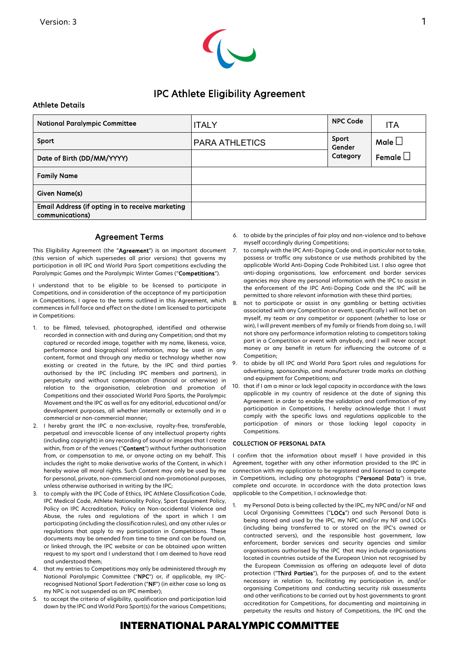

# IPC Athlete Eligibility Agreement

### Athlete Details

| <b>National Paralympic Committee</b>                                | <b>ITALY</b>          | <b>NPC Code</b>             | <b>ITA</b>       |
|---------------------------------------------------------------------|-----------------------|-----------------------------|------------------|
| Sport                                                               | <b>PARA ATHLETICS</b> | Sport<br>Gender<br>Category | Male $\Box$      |
| Date of Birth (DD/MM/YYYY)                                          |                       |                             | Female $\square$ |
| <b>Family Name</b>                                                  |                       |                             |                  |
| Given Name(s)                                                       |                       |                             |                  |
| Email Address (if opting in to receive marketing<br>communications) |                       |                             |                  |

## Agreement Terms

This Eligibility Agreement (the "Agreement") is an important document (this version of which supersedes all prior versions) that governs my participation in all IPC and World Para Sport competitions excluding the Paralympic Games and the Paralympic Winter Games ("Competitions").

I understand that to be eligible to be licensed to participate in Competitions, and in consideration of the acceptance of my participation in Competitions, I agree to the terms outlined in this Agreement, which commences in full force and effect on the date I am licensed to participate in Competitions:

- 1. to be filmed, televised, photographed, identified and otherwise recorded in connection with and during any Competition; and that my captured or recorded image, together with my name, likeness, voice, performance and biographical information, may be used in any content, format and through any media or technology whether now existing or created in the future, by the IPC and third parties authorised by the IPC (including IPC members and partners), in perpetuity and without compensation (financial or otherwise) in relation to the organisation, celebration and promotion of Competitions and their associated World Para Sports, the Paralympic Movement and the IPC as well as for any editorial, educational and/or development purposes, all whether internally or externally and in a commercial or non-commercial manner;
- 2. I hereby grant the IPC a non-exclusive, royalty-free, transferable, perpetual and irrevocable license of any intellectual property rights (including copyright) in any recording of sound or images that I create within, from or of the venues ("Content") without further authorisation from, or compensation to me, or anyone acting on my behalf. This includes the right to make derivative works of the Content, in which I hereby waive all moral rights. Such Content may only be used by me for personal, private, non-commercial and non-promotional purposes, unless otherwise authorised in writing by the IPC;
- 3. to comply with the IPC Code of Ethics, IPC Athlete Classification Code, IPC Medical Code, Athlete Nationality Policy, Sport Equipment Policy, Policy on IPC Accreditation, Policy on Non-accidental Violence and Abuse, the rules and regulations of the sport in which I am participating (including the classification rules), and any other rules or regulations that apply to my participation in Competitions. These documents may be amended from time to time and can be found on, or linked through, the IPC website or can be obtained upon written request to my sport and I understand that I am deemed to have read and understood them;
- 4. that my entries to Competitions may only be administered through my National Paralympic Committee ("NPC") or, if applicable, my IPCrecognised National Sport Federation ("NF") (in either case so long as my NPC is not suspended as an IPC member);
- 5. to accept the criteria of eligibility, qualification and participation laid down by the IPC and World Para Sport(s) for the various Competitions;

6. to abide by the principles of fair play and non-violence and to behave myself accordingly during Competitions;

- 7. to comply with the IPC Anti-Doping Code and, in particular not to take, possess or traffic any substance or use methods prohibited by the applicable World Anti-Doping Code Prohibited List. I also agree that anti-doping organisations, law enforcement and border services agencies may share my personal information with the IPC to assist in the enforcement of the IPC Anti-Doping Code and the IPC will be permitted to share relevant information with these third parties;
- 8. not to participate or assist in any gambling or betting activities associated with any Competition or event; specifically I will not bet on myself, my team or any competitor or opponent (whether to lose or win), I will prevent members of my family or friends from doing so, I will not share any performance information relating to competitors taking part in a Competition or event with anybody, and I will never accept money or any benefit in return for influencing the outcome of a Competition;
- 9. to abide by all IPC and World Para Sport rules and regulations for advertising, sponsorship, and manufacturer trade marks on clothing and equipment for Competitions; and
- 10. that if I am a minor or lack legal capacity in accordance with the laws applicable in my country of residence at the date of signing this Agreement: in order to enable the validation and confirmation of my participation in Competitions, I hereby acknowledge that I must comply with the specific laws and regulations applicable to the participation of minors or those lacking legal capacity in Competitions.

### COLLECTION OF PERSONAL DATA

I confirm that the information about myself I have provided in this Agreement, together with any other information provided to the IPC in connection with my application to be registered and licensed to compete in Competitions, including any photographs ("Personal Data") is true, complete and accurate. In accordance with the data protection laws applicable to the Competition, I acknowledge that:

1. my Personal Data is being collected by the IPC, my NPC and/or NF and Local Organising Committees ("LOCs") and such Personal Data is being stored and used by the IPC, my NPC and/or my NF and LOCs (including being transferred to or stored on the IPC's owned or contracted servers), and the responsible host government, law enforcement, border services and security agencies and similar organisations authorised by the IPC that may include organisations located in countries outside of the European Union not recognised by the European Commission as offering an adequate level of data protection ("Third Parties"), for the purposes of, and to the extent necessary in relation to, facilitating my participation in, and/or organising Competitions and conducting security risk assessments and other verifications to be carried out by host governments to grant accreditation for Competitions, for documenting and maintaining in perpetuity the results and history of Competitions, the IPC and the

## INTERNATIONAL PARALYMPIC COMMITTEE